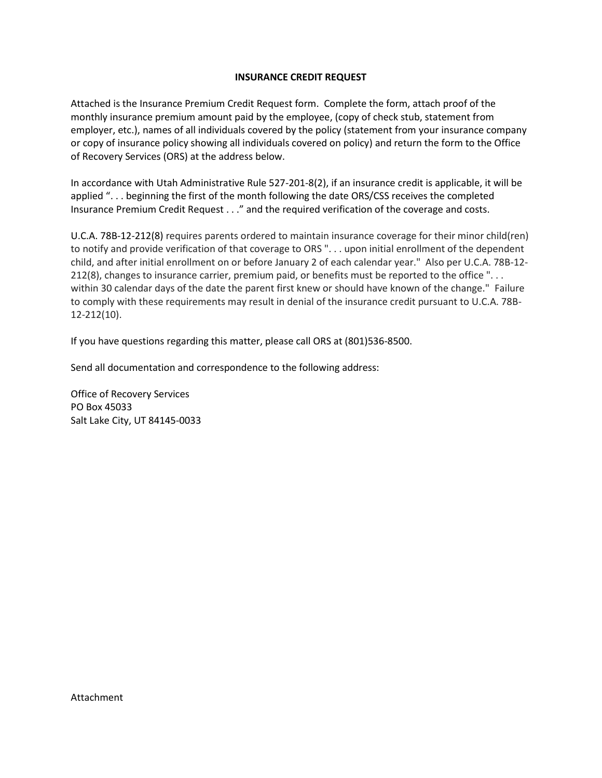## **INSURANCE CREDIT REQUEST**

Attached is the Insurance Premium Credit Request form. Complete the form, attach proof of the monthly insurance premium amount paid by the employee, (copy of check stub, statement from employer, etc.), names of all individuals covered by the policy (statement from your insurance company or copy of insurance policy showing all individuals covered on policy) and return the form to the Office of Recovery Services (ORS) at the address below.

In accordance with Utah Administrative Rule 527-201-8(2), if an insurance credit is applicable, it will be applied ". . . beginning the first of the month following the date ORS/CSS receives the completed Insurance Premium Credit Request . . ." and the required verification of the coverage and costs.

U.C.A. 78B-12-212(8) requires parents ordered to maintain insurance coverage for their minor child(ren) to notify and provide verification of that coverage to ORS ". . . upon initial enrollment of the dependent child, and after initial enrollment on or before January 2 of each calendar year." Also per U.C.A. 78B-12- 212(8), changes to insurance carrier, premium paid, or benefits must be reported to the office "... within 30 calendar days of the date the parent first knew or should have known of the change." Failure to comply with these requirements may result in denial of the insurance credit pursuant to U.C.A. 78B-12-212(10).

If you have questions regarding this matter, please call ORS at (801)536-8500.

Send all documentation and correspondence to the following address:

Office of Recovery Services PO Box 45033 Salt Lake City, UT 84145-0033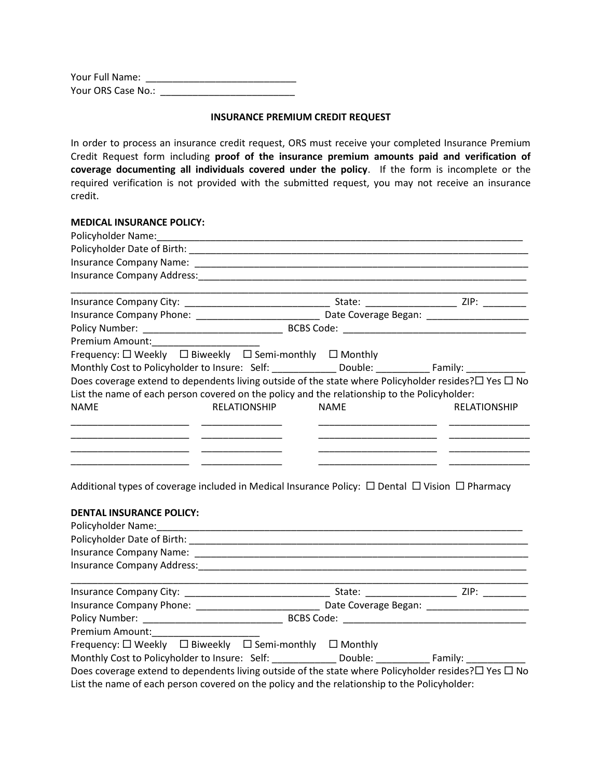| Your Full Name:    |  |
|--------------------|--|
| Your ORS Case No.: |  |

#### **INSURANCE PREMIUM CREDIT REQUEST**

In order to process an insurance credit request, ORS must receive your completed Insurance Premium Credit Request form including **proof of the insurance premium amounts paid and verification of coverage documenting all individuals covered under the policy**. If the form is incomplete or the required verification is not provided with the submitted request, you may not receive an insurance credit.

### **MEDICAL INSURANCE POLICY:**

| Frequency: $\Box$ Weekly $\Box$ Biweekly $\Box$ Semi-monthly $\Box$ Monthly |                                                                                                                       |  |
|-----------------------------------------------------------------------------|-----------------------------------------------------------------------------------------------------------------------|--|
|                                                                             | Monthly Cost to Policyholder to Insure: Self: Double: Double: Family: Double:                                         |  |
|                                                                             | Does coverage extend to dependents living outside of the state where Policyholder resides? $\square$ Yes $\square$ No |  |
|                                                                             | List the name of each person covered on the policy and the relationship to the Policyholder:                          |  |
| RELATIONSHIP<br><b>NAME</b>                                                 | <b>NAME</b><br><b>RELATIONSHIP</b>                                                                                    |  |
|                                                                             |                                                                                                                       |  |
|                                                                             |                                                                                                                       |  |
|                                                                             |                                                                                                                       |  |
|                                                                             |                                                                                                                       |  |

Additional types of coverage included in Medical Insurance Policy:  $\Box$  Dental  $\Box$  Vision  $\Box$  Pharmacy

| <b>DENTAL INSURANCE POLICY:</b>                                                                                       |  |  |
|-----------------------------------------------------------------------------------------------------------------------|--|--|
|                                                                                                                       |  |  |
|                                                                                                                       |  |  |
|                                                                                                                       |  |  |
|                                                                                                                       |  |  |
|                                                                                                                       |  |  |
| Premium Amount:_______________________                                                                                |  |  |
| Frequency: $\square$ Weekly $\square$ Biweekly $\square$ Semi-monthly $\square$ Monthly                               |  |  |
| Monthly Cost to Policyholder to Insure: Self: Double: Family: Family:                                                 |  |  |
| Does coverage extend to dependents living outside of the state where Policyholder resides? $\square$ Yes $\square$ No |  |  |
| List the name of each person covered on the policy and the relationship to the Policyholder:                          |  |  |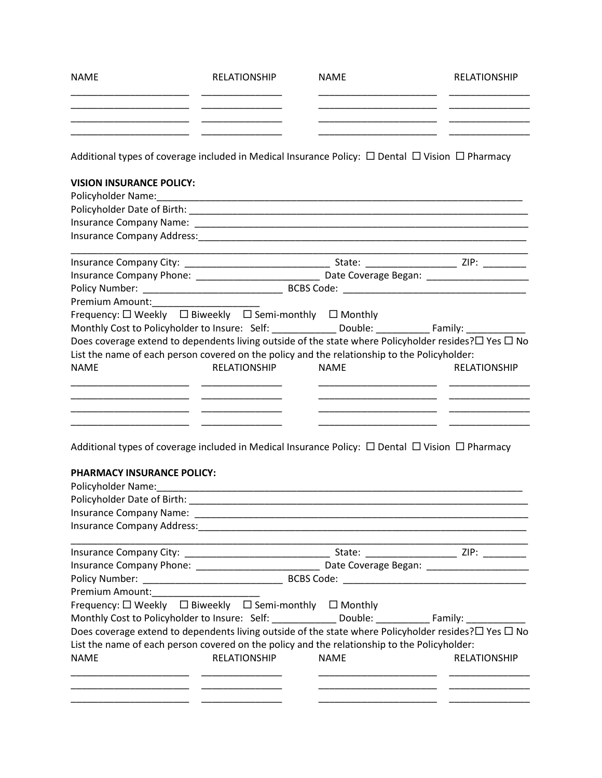| <b>NAME</b> | RELATIONSHIP | <b>NAME</b> | RELATIONSHIP |
|-------------|--------------|-------------|--------------|
|             |              |             |              |
|             |              |             |              |
|             |              |             |              |

Additional types of coverage included in Medical Insurance Policy:  $\Box$  Dental  $\Box$  Vision  $\Box$  Pharmacy

# **VISION INSURANCE POLICY:**

| Premium Amount:________________________                                                                               |             |                     |
|-----------------------------------------------------------------------------------------------------------------------|-------------|---------------------|
| Frequency: $\Box$ Weekly $\Box$ Biweekly $\Box$ Semi-monthly $\Box$ Monthly                                           |             |                     |
| Monthly Cost to Policyholder to Insure: Self: _______________Double: _______________________________                  |             |                     |
| Does coverage extend to dependents living outside of the state where Policyholder resides? $\square$ Yes $\square$ No |             |                     |
| List the name of each person covered on the policy and the relationship to the Policyholder:                          |             |                     |
| <b>NAME</b><br>RELATIONSHIP                                                                                           | <b>NAME</b> | <b>RELATIONSHIP</b> |
|                                                                                                                       |             |                     |
|                                                                                                                       |             |                     |
|                                                                                                                       |             |                     |
|                                                                                                                       |             |                     |

Additional types of coverage included in Medical Insurance Policy:  $\Box$  Dental  $\Box$  Vision  $\Box$  Pharmacy

# **PHARMACY INSURANCE POLICY:**

| Policyholder Name: 1980 1991 1992 1994                                                                                |             |                                               |  |
|-----------------------------------------------------------------------------------------------------------------------|-------------|-----------------------------------------------|--|
|                                                                                                                       |             |                                               |  |
|                                                                                                                       |             |                                               |  |
|                                                                                                                       |             |                                               |  |
|                                                                                                                       |             | Date Coverage Began: National Coverage Began: |  |
|                                                                                                                       |             |                                               |  |
|                                                                                                                       |             |                                               |  |
| Frequency: $\Box$ Weekly $\Box$ Biweekly $\Box$ Semi-monthly $\Box$ Monthly                                           |             |                                               |  |
| Monthly Cost to Policyholder to Insure: Self: Double: Double: Family: Double:                                         |             |                                               |  |
| Does coverage extend to dependents living outside of the state where Policyholder resides? $\square$ Yes $\square$ No |             |                                               |  |
| List the name of each person covered on the policy and the relationship to the Policyholder:                          |             |                                               |  |
| <b>NAME</b><br>RELATIONSHIP                                                                                           | <b>NAME</b> | <b>RELATIONSHIP</b>                           |  |
|                                                                                                                       |             |                                               |  |
|                                                                                                                       |             |                                               |  |
|                                                                                                                       |             |                                               |  |